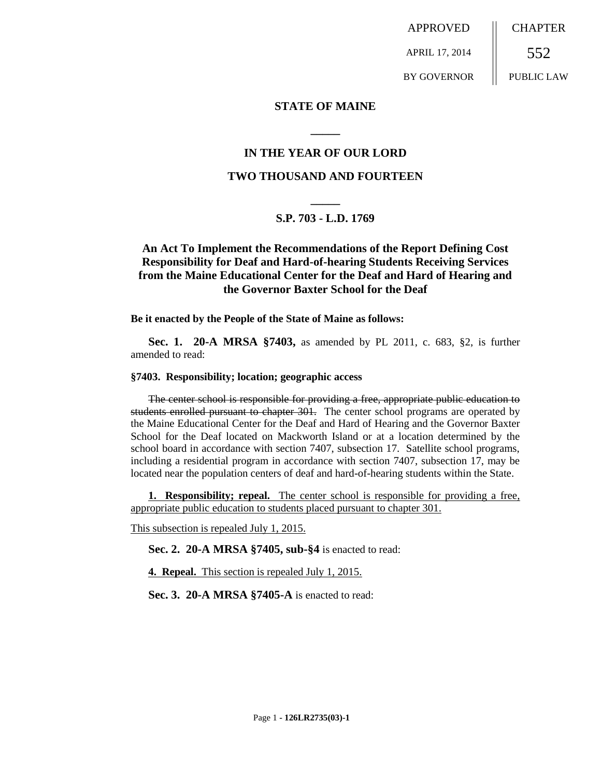APPROVED APRIL 17, 2014 BY GOVERNOR **CHAPTER** 552 PUBLIC LAW

## **STATE OF MAINE**

## **IN THE YEAR OF OUR LORD**

**\_\_\_\_\_**

## **TWO THOUSAND AND FOURTEEN**

# **\_\_\_\_\_ S.P. 703 - L.D. 1769**

## **An Act To Implement the Recommendations of the Report Defining Cost Responsibility for Deaf and Hard-of-hearing Students Receiving Services from the Maine Educational Center for the Deaf and Hard of Hearing and the Governor Baxter School for the Deaf**

**Be it enacted by the People of the State of Maine as follows:**

**Sec. 1. 20-A MRSA §7403,** as amended by PL 2011, c. 683, §2, is further amended to read:

#### **§7403. Responsibility; location; geographic access**

The center school is responsible for providing a free, appropriate public education to students enrolled pursuant to chapter 301. The center school programs are operated by the Maine Educational Center for the Deaf and Hard of Hearing and the Governor Baxter School for the Deaf located on Mackworth Island or at a location determined by the school board in accordance with section 7407, subsection 17. Satellite school programs, including a residential program in accordance with section 7407, subsection 17, may be located near the population centers of deaf and hard-of-hearing students within the State.

**1. Responsibility; repeal.** The center school is responsible for providing a free, appropriate public education to students placed pursuant to chapter 301.

This subsection is repealed July 1, 2015.

**Sec. 2. 20-A MRSA §7405, sub-§4** is enacted to read:

**4. Repeal.** This section is repealed July 1, 2015.

**Sec. 3. 20-A MRSA §7405-A** is enacted to read: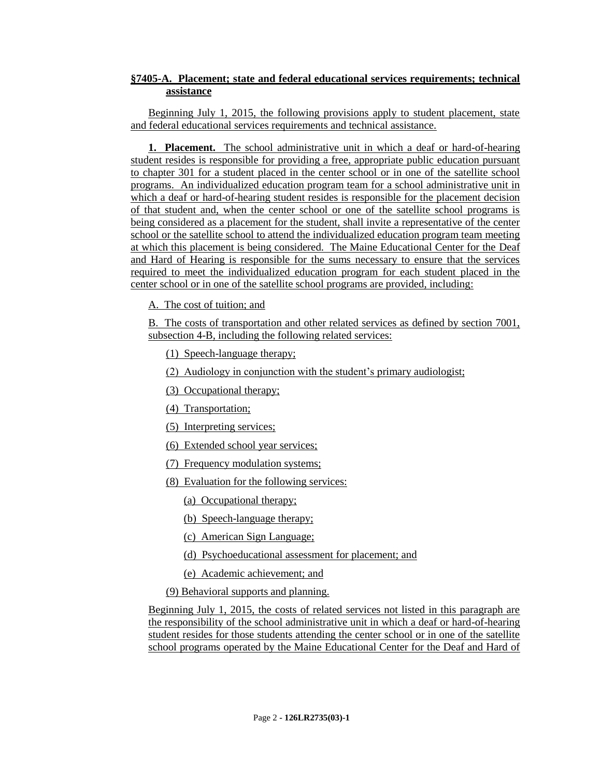## **§7405-A. Placement; state and federal educational services requirements; technical assistance**

Beginning July 1, 2015, the following provisions apply to student placement, state and federal educational services requirements and technical assistance.

**1. Placement.** The school administrative unit in which a deaf or hard-of-hearing student resides is responsible for providing a free, appropriate public education pursuant to chapter 301 for a student placed in the center school or in one of the satellite school programs. An individualized education program team for a school administrative unit in which a deaf or hard-of-hearing student resides is responsible for the placement decision of that student and, when the center school or one of the satellite school programs is being considered as a placement for the student, shall invite a representative of the center school or the satellite school to attend the individualized education program team meeting at which this placement is being considered. The Maine Educational Center for the Deaf and Hard of Hearing is responsible for the sums necessary to ensure that the services required to meet the individualized education program for each student placed in the center school or in one of the satellite school programs are provided, including:

A. The cost of tuition; and

B. The costs of transportation and other related services as defined by section 7001, subsection 4-B, including the following related services:

(1) Speech-language therapy;

(2) Audiology in conjunction with the student's primary audiologist;

(3) Occupational therapy;

(4) Transportation;

(5) Interpreting services;

(6) Extended school year services;

(7) Frequency modulation systems;

(8) Evaluation for the following services:

(a) Occupational therapy;

(b) Speech-language therapy;

(c) American Sign Language;

(d) Psychoeducational assessment for placement; and

(e) Academic achievement; and

(9) Behavioral supports and planning.

Beginning July 1, 2015, the costs of related services not listed in this paragraph are the responsibility of the school administrative unit in which a deaf or hard-of-hearing student resides for those students attending the center school or in one of the satellite school programs operated by the Maine Educational Center for the Deaf and Hard of